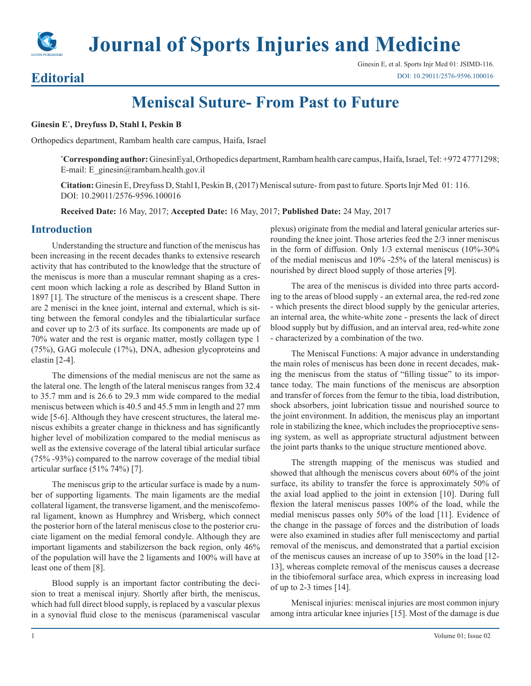

**Journal of Sports Injuries and Medicine**

## Ginesin E, et al. Sports Injr Med 01: JSIMD-116. [DOI: 10.29011/](
http://doi.org/10.29011/ JSIMD-116. 100016)2576-9596.100016

## **Editorial**

**Meniscal Suture- From Past to Future**

**Ginesin E\* , Dreyfuss D, Stahl I, Peskin B**

Orthopedics department, Rambam health care campus, Haifa, Israel

**\* Corresponding author:** GinesinEyal, Orthopedics department, Rambam health care campus, Haifa, Israel, Tel: +972 47771298; E-mail: E\_ginesin@rambam.health.gov.il

**Citation:** Ginesin E, Dreyfuss D, Stahl I, Peskin B, (2017) Meniscal suture- from past to future. Sports Injr Med 01: 116. DOI: 10.29011/2576-9596.100016

**Received Date:** 16 May, 2017; **Accepted Date:** 16 May, 2017; **Published Date:** 24 May, 2017

## **Introduction**

Understanding the structure and function of the meniscus has been increasing in the recent decades thanks to extensive research activity that has contributed to the knowledge that the structure of the meniscus is more than a muscular remnant shaping as a crescent moon which lacking a role as described by Bland Sutton in 1897 [1]. The structure of the meniscus is a crescent shape. There are 2 menisci in the knee joint, internal and external, which is sitting between the femoral condyles and the tibialarticular surface and cover up to 2/3 of its surface. Its components are made up of 70% water and the rest is organic matter, mostly collagen type 1 (75%), GAG molecule (17%), DNA, adhesion glycoproteins and elastin [2-4].

The dimensions of the medial meniscus are not the same as the lateral one. The length of the lateral meniscus ranges from 32.4 to 35.7 mm and is 26.6 to 29.3 mm wide compared to the medial meniscus between which is 40.5 and 45.5 mm in length and 27 mm wide [5-6]. Although they have crescent structures, the lateral meniscus exhibits a greater change in thickness and has significantly higher level of mobilization compared to the medial meniscus as well as the extensive coverage of the lateral tibial articular surface (75% -93%) compared to the narrow coverage of the medial tibial articular surface (51% 74%) [7].

The meniscus grip to the articular surface is made by a number of supporting ligaments. The main ligaments are the medial collateral ligament, the transverse ligament, and the meniscofemoral ligament, known as Humphrey and Wrisberg, which connect the posterior horn of the lateral meniscus close to the posterior cruciate ligament on the medial femoral condyle. Although they are important ligaments and stabilizerson the back region, only 46% of the population will have the 2 ligaments and 100% will have at least one of them [8].

Blood supply is an important factor contributing the decision to treat a meniscal injury. Shortly after birth, the meniscus, which had full direct blood supply, is replaced by a vascular plexus in a synovial fluid close to the meniscus (parameniscal vascular plexus) originate from the medial and lateral genicular arteries surrounding the knee joint. Those arteries feed the 2/3 inner meniscus in the form of diffusion. Only 1/3 external meniscus (10%-30% of the medial meniscus and 10% -25% of the lateral meniscus) is nourished by direct blood supply of those arteries [9].

The area of the meniscus is divided into three parts according to the areas of blood supply - an external area, the red-red zone - which presents the direct blood supply by the genicular arteries, an internal area, the white-white zone - presents the lack of direct blood supply but by diffusion, and an interval area, red-white zone - characterized by a combination of the two.

The Meniscal Functions: A major advance in understanding the main roles of meniscus has been done in recent decades, making the meniscus from the status of "filling tissue" to its importance today. The main functions of the meniscus are absorption and transfer of forces from the femur to the tibia, load distribution, shock absorbers, joint lubrication tissue and nourished source to the joint environment. In addition, the meniscus play an important role in stabilizing the knee, which includes the proprioceptive sensing system, as well as appropriate structural adjustment between the joint parts thanks to the unique structure mentioned above.

The strength mapping of the meniscus was studied and showed that although the meniscus covers about 60% of the joint surface, its ability to transfer the force is approximately 50% of the axial load applied to the joint in extension [10]. During full flexion the lateral meniscus passes 100% of the load, while the medial meniscus passes only 50% of the load [11]. Evidence of the change in the passage of forces and the distribution of loads were also examined in studies after full meniscectomy and partial removal of the meniscus, and demonstrated that a partial excision of the meniscus causes an increase of up to 350% in the load [12- 13], whereas complete removal of the meniscus causes a decrease in the tibiofemoral surface area, which express in increasing load of up to 2-3 times  $[14]$ .

Meniscal injuries: meniscal injuries are most common injury among intra articular knee injuries [15]. Most of the damage is due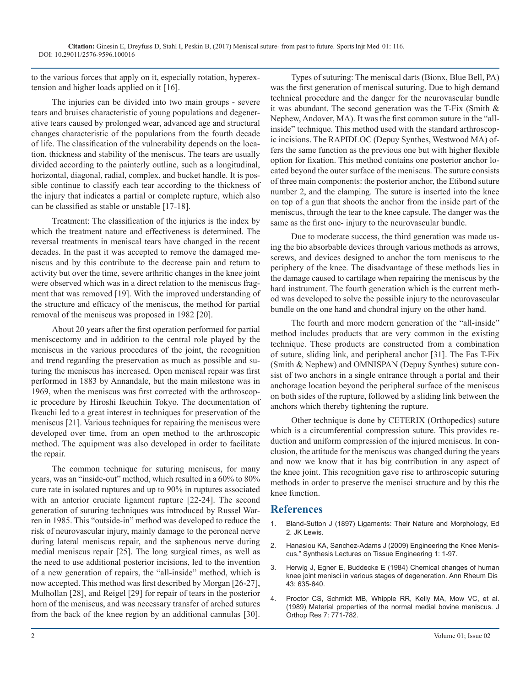to the various forces that apply on it, especially rotation, hyperextension and higher loads applied on it [16].

The injuries can be divided into two main groups - severe tears and bruises characteristic of young populations and degenerative tears caused by prolonged wear, advanced age and structural changes characteristic of the populations from the fourth decade of life. The classification of the vulnerability depends on the location, thickness and stability of the meniscus. The tears are usually divided according to the painterly outline, such as a longitudinal, horizontal, diagonal, radial, complex, and bucket handle. It is possible continue to classify each tear according to the thickness of the injury that indicates a partial or complete rupture, which also can be classified as stable or unstable [17-18].

Treatment: The classification of the injuries is the index by which the treatment nature and effectiveness is determined. The reversal treatments in meniscal tears have changed in the recent decades. In the past it was accepted to remove the damaged meniscus and by this contribute to the decrease pain and return to activity but over the time, severe arthritic changes in the knee joint were observed which was in a direct relation to the meniscus fragment that was removed [19]. With the improved understanding of the structure and efficacy of the meniscus, the method for partial removal of the meniscus was proposed in 1982 [20].

About 20 years after the first operation performed for partial meniscectomy and in addition to the central role played by the meniscus in the various procedures of the joint, the recognition and trend regarding the preservation as much as possible and suturing the meniscus has increased. Open meniscal repair was first performed in 1883 by Annandale, but the main milestone was in 1969, when the meniscus was first corrected with the arthroscopic procedure by Hiroshi Ikeuchiin Tokyo. The documentation of Ikeuchi led to a great interest in techniques for preservation of the meniscus [21]. Various techniques for repairing the meniscus were developed over time, from an open method to the arthroscopic method. The equipment was also developed in order to facilitate the repair.

The common technique for suturing meniscus, for many years, was an "inside-out" method, which resulted in a 60% to 80% cure rate in isolated ruptures and up to 90% in ruptures associated with an anterior cruciate ligament rupture [22-24]. The second generation of suturing techniques was introduced by Russel Warren in 1985. This "outside-in" method was developed to reduce the risk of neurovascular injury, mainly damage to the peroneal nerve during lateral meniscus repair, and the saphenous nerve during medial meniscus repair [25]. The long surgical times, as well as the need to use additional posterior incisions, led to the invention of a new generation of repairs, the "all-inside" method, which is now accepted. This method was first described by Morgan [26-27], Mulhollan [28], and Reigel [29] for repair of tears in the posterior horn of the meniscus, and was necessary transfer of arched sutures from the back of the knee region by an additional cannulas [30].

Types of suturing: The meniscal darts (Bionx, Blue Bell, PA) was the first generation of meniscal suturing. Due to high demand technical procedure and the danger for the neurovascular bundle it was abundant. The second generation was the T-Fix (Smith & Nephew, Andover, MA). It was the first common suture in the "allinside" technique. This method used with the standard arthroscopic incisions. The RAPIDLOC (Depuy Synthes, Westwood MA) offers the same function as the previous one but with higher flexible option for fixation. This method contains one posterior anchor located beyond the outer surface of the meniscus. The suture consists of three main components: the posterior anchor, the Etibond suture number 2, and the clamping. The suture is inserted into the knee on top of a gun that shoots the anchor from the inside part of the meniscus, through the tear to the knee capsule. The danger was the same as the first one- injury to the neurovascular bundle.

Due to moderate success, the third generation was made using the bio absorbable devices through various methods as arrows, screws, and devices designed to anchor the torn meniscus to the periphery of the knee. The disadvantage of these methods lies in the damage caused to cartilage when repairing the meniscus by the hard instrument. The fourth generation which is the current method was developed to solve the possible injury to the neurovascular bundle on the one hand and chondral injury on the other hand.

The fourth and more modern generation of the "all-inside" method includes products that are very common in the existing technique. These products are constructed from a combination of suture, sliding link, and peripheral anchor [31]. The Fas T-Fix (Smith & Nephew) and OMNISPAN (Depuy Synthes) suture consist of two anchors in a single entrance through a portal and their anchorage location beyond the peripheral surface of the meniscus on both sides of the rupture, followed by a sliding link between the anchors which thereby tightening the rupture.

Other technique is done by CETERIX (Orthopedics) suture which is a circumferential compression suture. This provides reduction and uniform compression of the injured meniscus. In conclusion, the attitude for the meniscus was changed during the years and now we know that it has big contribution in any aspect of the knee joint. This recognition gave rise to arthroscopic suturing methods in order to preserve the menisci structure and by this the knee function.

## **References**

- 1. [Bland-Sutton J \(1897\) Ligaments: Their Nature and Morphology, Ed](https://archive.org/details/ligamentstheirna00blanrich)  2. JK Lewis.
- 2. [Hanasiou KA, Sanchez-Adams J \(2009\) Engineering the Knee Menis](http://www.morganclaypool.com/doi/abs/10.2200/S00186ED1V01Y200903TIS001?gathStatIcon=true)cus." Synthesis Lectures on Tissue Engineering 1: 1-97.
- 3. [Herwig J, Egner E, Buddecke E \(1984\) Chemical changes of human](https://www.ncbi.nlm.nih.gov/pmc/articles/PMC1001426/)  knee joint menisci in various stages of degeneration. Ann Rheum Dis [43: 635-640.](https://www.ncbi.nlm.nih.gov/pmc/articles/PMC1001426/)
- 4. [Proctor CS, Schmidt MB, Whipple RR, Kelly MA, Mow VC, et al.](https://www.ncbi.nlm.nih.gov/pubmed/2677284) (1989) Material properties of the normal medial bovine meniscus. J [Orthop Res 7: 771-782.](https://www.ncbi.nlm.nih.gov/pubmed/2677284)